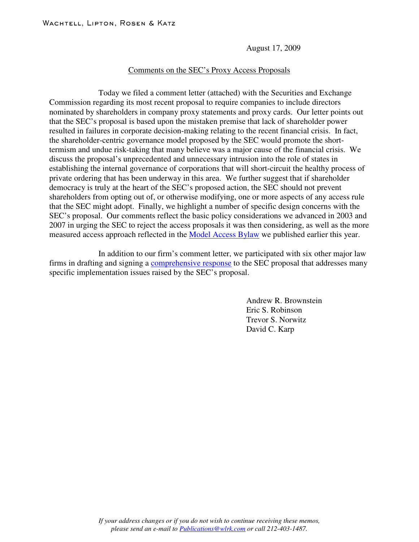August 17, 2009

## Comments on the SEC's Proxy Access Proposals

Today we filed a comment letter (attached) with the Securities and Exchange Commission regarding its most recent proposal to require companies to include directors nominated by shareholders in company proxy statements and proxy cards. Our letter points out that the SEC's proposal is based upon the mistaken premise that lack of shareholder power resulted in failures in corporate decision-making relating to the recent financial crisis. In fact, the shareholder-centric governance model proposed by the SEC would promote the shorttermism and undue risk-taking that many believe was a major cause of the financial crisis. We discuss the proposal's unprecedented and unnecessary intrusion into the role of states in establishing the internal governance of corporations that will short-circuit the healthy process of private ordering that has been underway in this area. We further suggest that if shareholder democracy is truly at the heart of the SEC's proposed action, the SEC should not prevent shareholders from opting out of, or otherwise modifying, one or more aspects of any access rule that the SEC might adopt. Finally, we highlight a number of specific design concerns with the SEC's proposal. Our comments reflect the basic policy considerations we advanced in 2003 and 2007 in urging the SEC to reject the access proposals it was then considering, as well as the more measured access approach reflected in the Model [Access](http://www.wlrk.com/webdocs/wlrknew/WLRKMemos/WLRK/WLRK.16648.09.pdf) Bylaw we published earlier this year.

In addition to our firm's comment letter, we participated with six other major law firms in drafting and signing a **[comprehensive](http://www.wlrk.com/docs/ProxyAccessCommentLetter1.pdf) response** to the SEC proposal that addresses many specific implementation issues raised by the SEC's proposal.

> Andrew R. Brownstein Eric S. Robinson Trevor S. Norwitz David C. Karp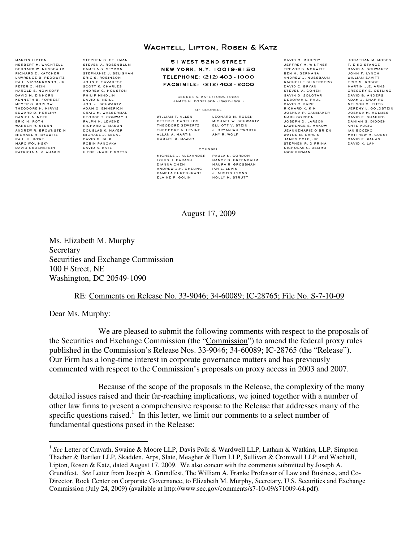## Wachtell, Lipton, Rosen & Katz

5 1 WEST 52 ND STREET NEW YORK, N.Y. 10019 -6150 TELEPHONE: (212) 403 - 1000 FACSIMILE: (212) 403 - 2000

> GEORGE A. KATZ (1965-1989) JAMES H. FOGELSON (1967-1991)

#### OF COUNSEL

PETER C. CANELLOS MICHAEL W. SCHWARTZ THEODORE GEWERTZ ELLIOTT V. STEIN THEODORE A. LEVINE ALLAN A. MARTIN AMY R. WOLF ROBERT B. MAZUR

WILLIAM T. ALLEN L. LEONARD M. ROSEN

COUNSEL

PAMELA EHRENKRANZ J. AUSTIN LYONS ELAINE P. GOLIN HOLLY M. STRUTT

MICHELE J. ALEXANDER PAULA N. GORDON<br>LOUIS J. BARASH NANCY B. GREENB NANCY B. GREENBAUM<br>MAURA R. GROSSMAN DIANNA CHEN MAURA R. GROSSMAN ANDREW J.H. CHEUNG IAN L. LEVIN

DAVID M. MURPHY JEFFREY M. WINTNER TREVOR S. NORWITZ BEN M. GERMANA ANDREW J. NUSSBAUM RACHELLE SILVERBERG DAVID C. BRYAN STEVEN A. COHEN GAVIN D. SOLOTAR DEBORAH L. PAUL DAVID C. KARP RICHARD K. KIM JOSHUA R. CAMMAKER MARK GORDON JOSEPH D. LARSON LAWRENCE S. MAKOW JEANNEMARIE O'BRIEN WAYNE M. CARLIN JAMES COLE, JR. STEPHEN R. DiPRIMA NICHOLAS G. DEMMO IGOR KIRMAN

JONATHAN M. MOSES T. EIKO STANGE DAVID A. SCHWARTZ JOHN F. LYNCH WILLIAM SAVITT ERIC M. ROSOF MARTIN J.E. ARMS<br>GREGORY E. OSTLING DAVID B. ANDERS ADAM J. SHAPIRO NELSON O. FITTS JEREMY L. GOLDSTEIN JOSHUA M. HOLMES DAVID E. SHAPIRO DAMIAN G. DIDDEN ANTE VUCIC IAN BOCZKO MATTHEW M. GUEST DAVID E. KAHAN DAVID K. LAM

#### August 17, 2009

Ms. Elizabeth M. Murphy **Secretary** Securities and Exchange Commission 100 F Street, NE Washington, DC 20549-1090

STEPHEN G. GELLMAN STEVEN A. ROSENBLUM PAMELA S. SEYMON STEPHANIE J. SELIGMAN ERIC S. ROBINSON JOHN F. SAVARESE SCOTT K. CHARLES ANDREW C. HOUSTON PHILIP MINDLIN DAVID S. NEILL JODI J. SCHWARTZ ADAM O. EMMERICH CRAIG M. WASSERMAN GEORGE T. CONWAY III RALPH M. LEVENE RICHARD G. MASON DOUGLAS K. MAYER MICHAEL J. SEGAL DAVID M. SILK ROBIN PANOVKA DAVID A. KATZ ILENE KNABLE GOTTS

### RE: Comments on Release No. 33-9046; 34-60089; IC-28765; File No. S-7-10-09

Dear Ms. Murphy:

MARTIN LIPTON HERBERT M. WACHTELL BERNARD W. NUSSBAUM RICHARD D. KATCHER LAWRENCE B. PEDOWITZ PAUL VIZCARRONDO, JR. PETER C. HEIN HAROLD S. NOVIKOFF DAVID M. EINHORN<br>KENNETH B. FORREST MEYER G. KOPLOW THEODORE N. MIRVIS EDWARD D. HERLIHY DANIEL A. NEFF ERIC M. ROTH

WARREN R. STERN ANDREW R. BROWNSTEIN MICHAEL H. BYOWITZ PAUL K. ROWE MARC WOLINSKY DAVID GRUENSTEIN PATRICIA A. VLAHAKIS

> We are pleased to submit the following comments with respect to the proposals of the Securities and Exchange Commission (the "Commission") to amend the federal proxy rules published in the Commission's Release Nos. 33-9046; 34-60089; IC-28765 (the "Release"). Our Firm has a long-time interest in corporate governance matters and has previously commented with respect to the Commission's proposals on proxy access in 2003 and 2007.

Because of the scope of the proposals in the Release, the complexity of the many detailed issues raised and their far-reaching implications, we joined together with a number of other law firms to present a comprehensive response to the Release that addresses many of the specific questions raised.<sup>1</sup> In this letter, we limit our comments to a select number of fundamental questions posed in the Release:

<sup>&</sup>lt;sup>1</sup> See Letter of Cravath, Swaine & Moore LLP, Davis Polk & Wardwell LLP, Latham & Watkins, LLP, Simpson Thacher & Bartlett LLP, Skadden, Arps, Slate, Meagher & Flom LLP, Sullivan & Cromwell LLP and Wachtell, Lipton, Rosen & Katz, dated August 17, 2009. We also concur with the comments submitted by Joseph A. Grundfest. *See* Letter from Joseph A. Grundfest, The William A. Franke Professor of Law and Business, and Co-Director, Rock Center on Corporate Governance, to Elizabeth M. Murphy, Secretary, U.S. Securities and Exchange Commission (July 24, 2009) (available at http://www.sec.gov/comments/s7-10-09/s71009-64.pdf).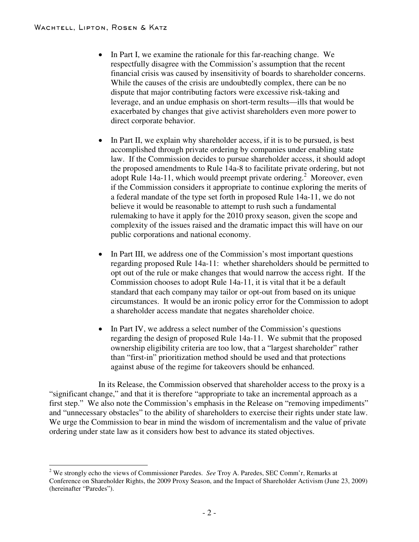- In Part I, we examine the rationale for this far-reaching change. We respectfully disagree with the Commission's assumption that the recent financial crisis was caused by insensitivity of boards to shareholder concerns. While the causes of the crisis are undoubtedly complex, there can be no dispute that major contributing factors were excessive risk-taking and leverage, and an undue emphasis on short-term results—ills that would be exacerbated by changes that give activist shareholders even more power to direct corporate behavior.
- In Part II, we explain why shareholder access, if it is to be pursued, is best accomplished through private ordering by companies under enabling state law. If the Commission decides to pursue shareholder access, it should adopt the proposed amendments to Rule 14a-8 to facilitate private ordering, but not adopt Rule 14a-11, which would preempt private ordering.<sup>2</sup> Moreover, even if the Commission considers it appropriate to continue exploring the merits of a federal mandate of the type set forth in proposed Rule 14a-11, we do not believe it would be reasonable to attempt to rush such a fundamental rulemaking to have it apply for the 2010 proxy season, given the scope and complexity of the issues raised and the dramatic impact this will have on our public corporations and national economy.
- In Part III, we address one of the Commission's most important questions regarding proposed Rule 14a-11: whether shareholders should be permitted to opt out of the rule or make changes that would narrow the access right. If the Commission chooses to adopt Rule 14a-11, it is vital that it be a default standard that each company may tailor or opt-out from based on its unique circumstances. It would be an ironic policy error for the Commission to adopt a shareholder access mandate that negates shareholder choice.
- In Part IV, we address a select number of the Commission's questions regarding the design of proposed Rule 14a-11. We submit that the proposed ownership eligibility criteria are too low, that a "largest shareholder" rather than "first-in" prioritization method should be used and that protections against abuse of the regime for takeovers should be enhanced.

In its Release, the Commission observed that shareholder access to the proxy is a "significant change," and that it is therefore "appropriate to take an incremental approach as a first step." We also note the Commission's emphasis in the Release on "removing impediments" and "unnecessary obstacles" to the ability of shareholders to exercise their rights under state law. We urge the Commission to bear in mind the wisdom of incrementalism and the value of private ordering under state law as it considers how best to advance its stated objectives.

<sup>2</sup> We strongly echo the views of Commissioner Paredes. *See* Troy A. Paredes, SEC Comm'r, Remarks at Conference on Shareholder Rights, the 2009 Proxy Season, and the Impact of Shareholder Activism (June 23, 2009) (hereinafter "Paredes").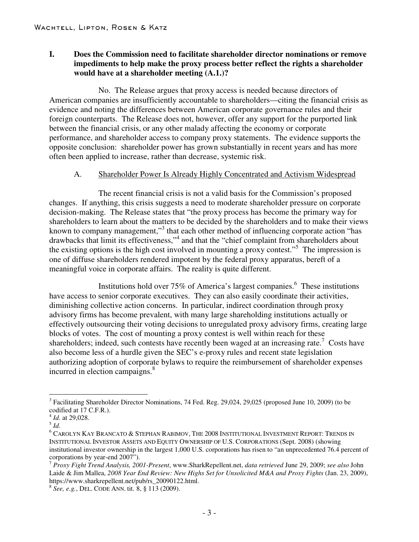# **I. Does the Commission need to facilitate shareholder director nominations or remove impediments to help make the proxy process better reflect the rights a shareholder would have at a shareholder meeting (A.1.)?**

No. The Release argues that proxy access is needed because directors of American companies are insufficiently accountable to shareholders—citing the financial crisis as evidence and noting the differences between American corporate governance rules and their foreign counterparts. The Release does not, however, offer any support for the purported link between the financial crisis, or any other malady affecting the economy or corporate performance, and shareholder access to company proxy statements. The evidence supports the opposite conclusion: shareholder power has grown substantially in recent years and has more often been applied to increase, rather than decrease, systemic risk.

## A. Shareholder Power Is Already Highly Concentrated and Activism Widespread

The recent financial crisis is not a valid basis for the Commission's proposed changes. If anything, this crisis suggests a need to moderate shareholder pressure on corporate decision-making. The Release states that "the proxy process has become the primary way for shareholders to learn about the matters to be decided by the shareholders and to make their views known to company management,"<sup>3</sup> that each other method of influencing corporate action "has drawbacks that limit its effectiveness,"<sup>4</sup> and that the "chief complaint from shareholders about the existing options is the high cost involved in mounting a proxy contest.<sup>55</sup> The impression is one of diffuse shareholders rendered impotent by the federal proxy apparatus, bereft of a meaningful voice in corporate affairs. The reality is quite different.

Institutions hold over 75% of America's largest companies. <sup>6</sup> These institutions have access to senior corporate executives. They can also easily coordinate their activities, diminishing collective action concerns. In particular, indirect coordination through proxy advisory firms has become prevalent, with many large shareholding institutions actually or effectively outsourcing their voting decisions to unregulated proxy advisory firms, creating large blocks of votes. The cost of mounting a proxy contest is well within reach for these shareholders; indeed, such contests have recently been waged at an increasing rate.<sup>7</sup> Costs have also become less of a hurdle given the SEC's e-proxy rules and recent state legislation authorizing adoption of corporate bylaws to require the reimbursement of shareholder expenses incurred in election campaigns. 8

 $3$  Facilitating Shareholder Director Nominations, 74 Fed. Reg. 29,024, 29,025 (proposed June 10, 2009) (to be codified at 17 C.F.R.).

<sup>&</sup>lt;sup>4</sup> *Id*. at 29,028.<br><sup>5</sup> *Id.*<br><sup>6</sup> CAROLYN KAY BRANCATO & STEPHAN RABIMOV, THE 2008 INSTITUTIONAL INVESTMENT REPORT: TRENDS IN INSTITUTIONAL INVESTOR ASSETS AND EQUITY OWNERSHIP OF U.S. CORPORATIONS (Sept. 2008) (showing institutional investor ownership in the largest 1,000 U.S. corporations has risen to "an unprecedented 76.4 percent of corporations by year-end 2007"). <sup>7</sup> *Proxy Fight Trend Analysis, 2001-Present*, www.SharkRepellent.net, *data retrieved* June 29, 2009; *see also* John

Laide & Jim Mallea, *2008 Year End Review: New Highs Set for Unsolicited M&A and Proxy Fights* (Jan. 23, 2009), https://www.sharkrepellent.net/pub/rs\_20090122.html. <sup>8</sup> *See, e.g.*, DEL. CODE ANN. tit. 8, § <sup>113</sup> (2009).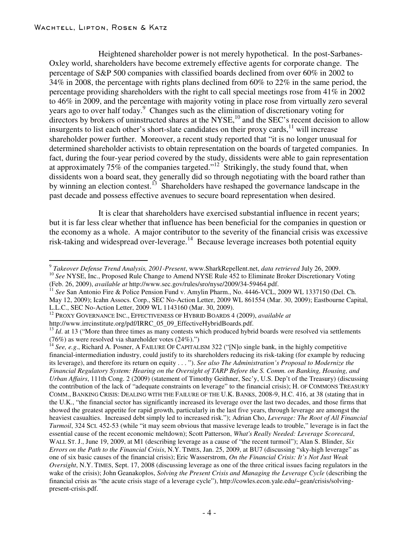Heightened shareholder power is not merely hypothetical. In the post-Sarbanes-Oxley world, shareholders have become extremely effective agents for corporate change. The percentage of S&P 500 companies with classified boards declined from over 60% in 2002 to 34% in 2008, the percentage with rights plans declined from 60% to 22% in the same period, the percentage providing shareholders with the right to call special meetings rose from 41% in 2002 to 46% in 2009, and the percentage with majority voting in place rose from virtually zero several years ago to over half today. <sup>9</sup> Changes such as the elimination of discretionary voting for directors by brokers of uninstructed shares at the NYSE,<sup>10</sup> and the SEC's recent decision to allow insurgents to list each other's short-slate candidates on their proxy cards,  $11$  will increase shareholder power further. Moreover, a recent study reported that "it is no longer unusual for determined shareholder activists to obtain representation on the boards of targeted companies. In fact, during the four-year period covered by the study, dissidents were able to gain representation at approximately 75% of the companies targeted."<sup>12</sup> Strikingly, the study found that, when dissidents won a board seat, they generally did so through negotiating with the board rather than by winning an election contest.<sup>13</sup> Shareholders have reshaped the governance landscape in the past decade and possess effective avenues to secure board representation when desired.

It is clear that shareholders have exercised substantial influence in recent years; but it is far less clear whether that influence has been beneficial for the companies in question or the economy as a whole. A major contributor to the severity of the financial crisis was excessive risk-taking and widespread over-leverage.<sup>14</sup> Because leverage increases both potential equity

 $^{9}$  Takeover Defense Trend Analysis, 2001-Present, www.SharkRepellent.net, data retrieved July 26, 2009.<br><sup>10</sup> See NYSE, Inc., Proposed Rule Change to Amend NYSE Rule 452 to Eliminate Broker Discretionary Voting (Feb. 26, 2009), *available at* http://www.sec.gov/rules/sro/nyse/2009/34-59464.pdf. <sup>11</sup> *See* San Antonio Fire & Police Pension Fund v. Amylin Pharm., No. 4446-VCL, <sup>2009</sup> WL <sup>1337150</sup> (Del. Ch.

May 12, 2009); Icahn Assocs. Corp., SEC No-Action Letter, 2009 WL 861554 (Mar. 30, 2009); Eastbourne Capital,

L.L.C., SEC No-Action Letter, 2009 WL 1143160 (Mar. 30, 2009).<br><sup>12</sup> PROXY GOVERNANCE INC., EFFECTIVENESS OF HYBRID BOARDS 4 (2009), *available at*<br>http://www.irrcinstitute.org/pdf/IRRC\_05\_09\_EffectiveHybridBoards.pdf.

<sup>&</sup>lt;sup>13</sup> *Id.* at 13 ("More than three times as many contests which produced hybrid boards were resolved via settlements (76%) as were resolved via shareholder votes (24%).")

<sup>&</sup>lt;sup>14</sup> See, e.g., Richard A. Posner, A FAILURE OF CAPITALISM 322 ("[N]o single bank, in the highly competitive financial-intermediation industry, could justify to its shareholders reducing its risk-taking (for example by reducing its leverage), and therefore its return on equity . . . "). *See also The Administration's Proposal to Modernize the* Financial Regulatory System: Hearing on the Oversight of TARP Before the S. Comm. on Banking, Housing, and *Urban Affairs*, 111th Cong. 2 (2009) (statement of Timothy Geithner, Sec'y, U.S. Dep't of the Treasury) (discussing the contribution of the lack of "adequate constraints on leverage" to the financial crisis); H. OF COMMONS TREASURY COMM., BANKING CRISIS: DEALING WITH THE FAILURE OF THE U.K. BANKS, 2008-9, H.C. 416, at 38 (stating that in the U.K., "the financial sector has significantly increased its leverage over the last two decades, and those firms that showed the greatest appetite for rapid growth, particularly in the last five years, through leverage are amongst the heaviest casualties. Increased debt simply led to increased risk."); Adrian Cho, *Leverage: The Root of All Financial Turmoil*, 324 SCI. 452-53 (while "it may seem obvious that massive leverage leads to trouble," leverage is in fact the essential cause of the recent economic meltdown); Scott Patterson, *What's Really Needed: Leverage Scorecard*, WALL ST. J., June 19, 2009, at M1 (describing leverage as a cause of "the recent turmoil"); Alan S. Blinder, *Six Errors on the Path to the Financial Crisis*, N.Y. TIMES, Jan. 25, 2009, at BU7 (discussing "sky-high leverage" as one of six basic causes of the financial crisis); Eric Wasserstrom, *On the Financial Crisis: It's Not Just Weak Oversight*, N.Y. TIMES, Sept. 17, 2008 (discussing leverage as one of the three critical issues facing regulators in the wake of the crisis); John Geanakoplos, *Solving the Present Crisis and Managing the Leverage Cycle* (describing the financial crisis as "the acute crisis stage of a leverage cycle"), http://cowles.econ.yale.edu/~gean/crisis/solvingpresent-crisis.pdf.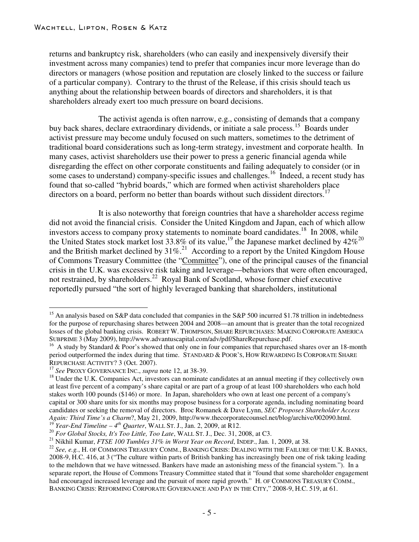returns and bankruptcy risk, shareholders (who can easily and inexpensively diversify their investment across many companies) tend to prefer that companies incur more leverage than do directors or managers (whose position and reputation are closely linked to the success or failure of a particular company). Contrary to the thrust of the Release, if this crisis should teach us anything about the relationship between boards of directors and shareholders, it is that shareholders already exert too much pressure on board decisions.

The activist agenda is often narrow, e.g., consisting of demands that a company buy back shares, declare extraordinary dividends, or initiate a sale process.<sup>15</sup> Boards under activist pressure may become unduly focused on such matters, sometimes to the detriment of traditional board considerations such as long-term strategy, investment and corporate health. In many cases, activist shareholders use their power to press a generic financial agenda while disregarding the effect on other corporate constituents and failing adequately to consider (or in some cases to understand) company-specific issues and challenges.<sup>16</sup> Indeed, a recent study has found that so-called "hybrid boards," which are formed when activist shareholders place directors on a board, perform no better than boards without such dissident directors.<sup>17</sup>

It is also noteworthy that foreign countries that have a shareholder access regime did not avoid the financial crisis. Consider the United Kingdom and Japan, each of which allow investors access to company proxy statements to nominate board candidates.<sup>18</sup> In 2008, while the United States stock market lost 33.8% of its value,<sup>19</sup> the Japanese market declined by  $42\%^{20}$ and the British market declined by  $31\%$ .<sup>21</sup> According to a report by the United Kingdom House of Commons Treasury Committee (the "Committee"), one of the principal causes of the financial crisis in the U.K. was excessive risk taking and leverage—behaviors that were often encouraged, not restrained, by shareholders.<sup>22</sup> Royal Bank of Scotland, whose former chief executive reportedly pursued "the sort of highly leveraged banking that shareholders, institutional

<sup>&</sup>lt;sup>15</sup> An analysis based on S&P data concluded that companies in the S&P 500 incurred \$1.78 trillion in indebtedness for the purpose of repurchasing shares between 2004 and 2008—an amount that is greater than the total recognized losses of the global banking crisis. ROBERT W. THOMPSON, SHARE REPURCHASES: MAKING CORPORATE AMERICA

SUBPRIME <sup>3</sup> (May 2009), http://www.advantuscapital.com/adv/pdf/ShareRepurchase.pdf. <sup>16</sup> <sup>A</sup> study by Standard & Poor's showed that only one in four companies that repurchased shares over an 18-month period outperformed the index during that time. STANDARD & POOR'S, HOW REWARDING IS CORPORATE SHARE REPURCHASE ACTIVITY? 3 (Oct. 2007).

<sup>&</sup>lt;sup>17</sup> See PROXY GOVERNANCE INC., *supra* note 12, at 38-39. <sup>18</sup> Under the U.K. Companies Act, investors can nominate candidates at an annual meeting if they collectively own at least five percent of a company's share capital or are part of a group of at least 100 shareholders who each hold stakes worth 100 pounds (\$146) or more. In Japan, shareholders who own at least one percent of a company's capital or 300 share units for six months may propose business for a corporate agenda, including nominating board candidates or seeking the removal of directors. Broc Romanek & Dave Lynn, *SEC Proposes Shareholder Access* Again: Third Time's a Charm?, May 21, 2009, http://www.thecorporatecounsel.net/blog/archive/002090.html.<br><sup>19</sup> Year-End Timeline – 4<sup>th</sup> Quarter, WALL ST. J., Jan. 2, 2009, at R12.<br><sup>20</sup> For Global Stocks, It's Too Little,

<sup>2008-9,</sup> H.C. 416, at 3 ("The culture within parts of British banking has increasingly been one of risk taking leading to the meltdown that we have witnessed. Bankers have made an astonishing mess of the financial system."). In a separate report, the House of Commons Treasury Committee stated that it "found that some shareholder engagement had encouraged increased leverage and the pursuit of more rapid growth." H. OF COMMONS TREASURY COMM., BANKING CRISIS: REFORMING CORPORATE GOVERNANCE AND PAY IN THE CITY," 2008-9, H.C. 519, at 61.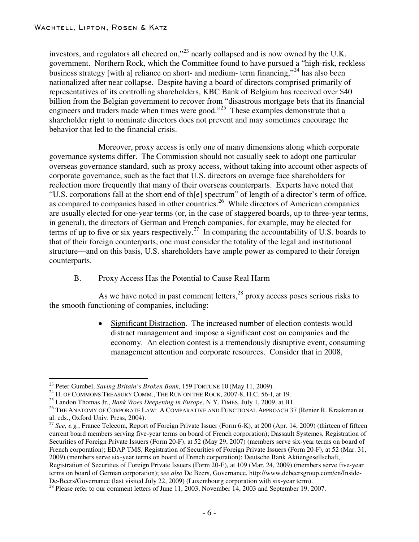investors, and regulators all cheered on,"<sup>23</sup> nearly collapsed and is now owned by the U.K. government. Northern Rock, which the Committee found to have pursued a "high-risk, reckless business strategy [with a] reliance on short- and medium- term financing,"<sup>24</sup> has also been nationalized after near collapse. Despite having a board of directors comprised primarily of representatives of its controlling shareholders, KBC Bank of Belgium has received over \$40 billion from the Belgian government to recover from "disastrous mortgage bets that its financial engineers and traders made when times were good."<sup>25</sup> These examples demonstrate that a shareholder right to nominate directors does not prevent and may sometimes encourage the behavior that led to the financial crisis.

Moreover, proxy access is only one of many dimensions along which corporate governance systems differ. The Commission should not casually seek to adopt one particular overseas governance standard, such as proxy access, without taking into account other aspects of corporate governance, such as the fact that U.S. directors on average face shareholders for reelection more frequently that many of their overseas counterparts. Experts have noted that "U.S. corporations fall at the short end of th[e] spectrum" of length of a director's term of office, as compared to companies based in other countries.<sup>26</sup> While directors of American companies are usually elected for one-year terms (or, in the case of staggered boards, up to three-year terms, in general), the directors of German and French companies, for example, may be elected for terms of up to five or six years respectively.<sup>27</sup> In comparing the accountability of U.S. boards to that of their foreign counterparts, one must consider the totality of the legal and institutional structure—and on this basis, U.S. shareholders have ample power as compared to their foreign counterparts.

# B. Proxy Access Has the Potential to Cause Real Harm

As we have noted in past comment letters,<sup>28</sup> proxy access poses serious risks to the smooth functioning of companies, including:

> Significant Distraction. The increased number of election contests would distract management and impose a significant cost on companies and the economy. An election contest is a tremendously disruptive event, consuming management attention and corporate resources. Consider that in 2008,

<sup>&</sup>lt;sup>23</sup> Peter Gumbel, *Saving Britain's Broken Bank*, 159 FORTUNE 10 (May 11, 2009).<br><sup>24</sup> H. OF COMMONS TREASURY COMM., THE RUN ON THE ROCK, 2007-8, H.C. 56-I, at 19.<br><sup>25</sup> Landon Thomas Jr., *Bank Woes Deepening in Europe*,

<sup>&</sup>lt;sup>27</sup> See, e.g., France Telecom, Report of Foreign Private Issuer (Form 6-K), at 200 (Apr. 14, 2009) (thirteen of fifteen current board members serving five-year terms on board of French corporation); Dassault Systemes, Registration of Securities of Foreign Private Issuers (Form 20-F), at 52 (May 29, 2007) (members serve six-year terms on board of French corporation); EDAP TMS, Registration of Securities of Foreign Private Issuers (Form 20-F), at 52 (Mar. 31, 2009) (members serve six-year terms on board of French corporation); Deutsche Bank Aktiengesellschaft, Registration of Securities of Foreign Private Issuers (Form 20-F), at 109 (Mar. 24, 2009) (members serve five-year terms on board of German corporation); *see also* De Beers, Governance, http://www.debeersgroup.com/en/Inside-

<sup>&</sup>lt;sup>28</sup> Please refer to our comment letters of June 11, 2003, November 14, 2003 and September 19, 2007.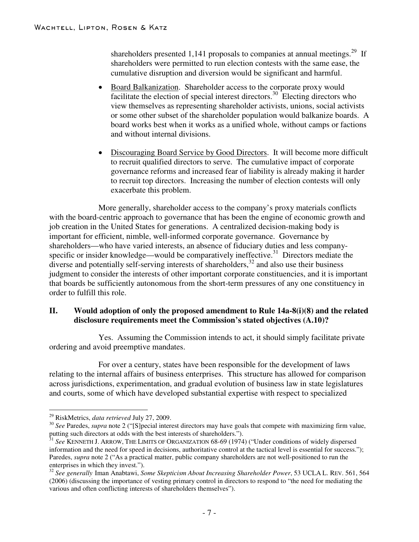shareholders presented 1,141 proposals to companies at annual meetings.<sup>29</sup> If shareholders were permitted to run election contests with the same ease, the cumulative disruption and diversion would be significant and harmful.

- Board Balkanization. Shareholder access to the corporate proxy would facilitate the election of special interest directors.<sup>30</sup> Electing directors who view themselves as representing shareholder activists, unions, social activists or some other subset of the shareholder population would balkanize boards. A board works best when it works as a unified whole, without camps or factions and without internal divisions.
- Discouraging Board Service by Good Directors. It will become more difficult to recruit qualified directors to serve. The cumulative impact of corporate governance reforms and increased fear of liability is already making it harder to recruit top directors. Increasing the number of election contests will only exacerbate this problem.

More generally, shareholder access to the company's proxy materials conflicts with the board-centric approach to governance that has been the engine of economic growth and job creation in the United States for generations. A centralized decision-making body is important for efficient, nimble, well-informed corporate governance. Governance by shareholders—who have varied interests, an absence of fiduciary duties and less companyspecific or insider knowledge—would be comparatively ineffective.<sup>31</sup> Directors mediate the diverse and potentially self-serving interests of shareholders, <sup>32</sup> and also use their business judgment to consider the interests of other important corporate constituencies, and it is important that boards be sufficiently autonomous from the short-term pressures of any one constituency in order to fulfill this role.

# **II. Would adoption of only the proposed amendment to Rule 14a-8(i)(8) and the related disclosure requirements meet the Commission's stated objectives (A.10)?**

Yes. Assuming the Commission intends to act, it should simply facilitate private ordering and avoid preemptive mandates.

For over a century, states have been responsible for the development of laws relating to the internal affairs of business enterprises. This structure has allowed for comparison across jurisdictions, experimentation, and gradual evolution of business law in state legislatures and courts, some of which have developed substantial expertise with respect to specialized

<sup>&</sup>lt;sup>29</sup> RiskMetrics, *data retrieved* July 27, 2009.<br><sup>30</sup> *See* Paredes, *supra* note 2 ("[S]pecial interest directors may have goals that compete with maximizing firm value, putting such directors at odds with the best interests of shareholders.").<br><sup>31</sup> *See* KENNETH J. ARROW, THE LIMITS OF ORGANIZATION 68-69 (1974) ("Under conditions of widely dispersed

information and the need for speed in decisions, authoritative control at the tactical level is essential for success."); Paredes, *supra* note 2 ("As a practical matter, public company shareholders are not well-positioned to run the enterprises in which they invest.").

<sup>&</sup>lt;sup>32</sup> See generally Iman Anabtawi, *Some Skepticism About Increasing Shareholder Power*, 53 UCLA L. REV. 561, 564 (2006) (discussing the importance of vesting primary control in directors to respond to "the need for mediating the various and often conflicting interests of shareholders themselves").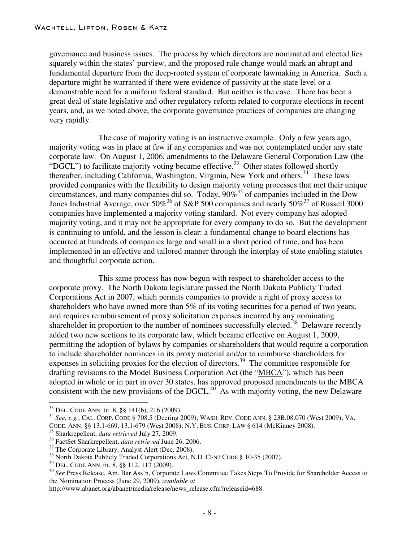governance and business issues. The process by which directors are nominated and elected lies squarely within the states' purview, and the proposed rule change would mark an abrupt and fundamental departure from the deep-rooted system of corporate lawmaking in America. Such a departure might be warranted if there were evidence of passivity at the state level or a demonstrable need for a uniform federal standard. But neither is the case. There has been a great deal of state legislative and other regulatory reform related to corporate elections in recent years, and, as we noted above, the corporate governance practices of companies are changing very rapidly.

The case of majority voting is an instructive example. Only a few years ago, majority voting was in place at few if any companies and was not contemplated under any state corporate law. On August 1, 2006, amendments to the Delaware General Corporation Law (the "DGCL") to facilitate majority voting became effective.<sup>33</sup> Other states followed shortly thereafter, including California, Washington, Virginia, New York and others.<sup>34</sup> These laws provided companies with the flexibility to design majority voting processes that met their unique circumstances, and many companies did so. Today,  $90\%^{35}$  of companies included in the Dow Jones Industrial Average, over  $50\%$ <sup>36</sup> of S&P 500 companies and nearly 50%<sup>37</sup> of Russell 3000 companies have implemented a majority voting standard. Not every company has adopted majority voting, and it may not be appropriate for every company to do so. But the development is continuing to unfold, and the lesson is clear: a fundamental change to board elections has occurred at hundreds of companies large and small in a short period of time, and has been implemented in an effective and tailored manner through the interplay of state enabling statutes and thoughtful corporate action.

This same process has now begun with respect to shareholder access to the corporate proxy. The North Dakota legislature passed the North Dakota Publicly Traded Corporations Act in 2007, which permits companies to provide a right of proxy access to shareholders who have owned more than 5% of its voting securities for a period of two years, and requires reimbursement of proxy solicitation expenses incurred by any nominating shareholder in proportion to the number of nominees successfully elected.<sup>38</sup> Delaware recently added two new sections to its corporate law, which became effective on August 1, 2009, permitting the adoption of bylaws by companies or shareholders that would require a corporation to include shareholder nominees in its proxy material and/or to reimburse shareholders for expenses in soliciting proxies for the election of directors.<sup>39</sup> The committee responsible for drafting revisions to the Model Business Corporation Act (the "MBCA"), which has been adopted in whole or in part in over 30 states, has approved proposed amendments to the MBCA consistent with the new provisions of the DGCL. $40^\circ$  As with majority voting, the new Delaware

<sup>&</sup>lt;sup>33</sup> DEL. CODE ANN. tit. 8, §§ 141(b), 216 (2009).<br><sup>34</sup> *See, e.g.*, CAL. CORP. CODE § 708.5 (Deering 2009); WASH. REV. CODE ANN. § 23B.08.070 (West 2009); VA. CODE. ANN. §§ 13.1-669, 13.1-679 (West 2008); N.Y. BUS. CORP.

<sup>&</sup>lt;sup>35</sup> Sharkrepellent, *data retrieved July 27, 2009.*<br><sup>36</sup> FactSet Sharkrepellent, *data retrieved June 26, 2006.*<br><sup>37</sup> The Corporate Library, Analyst Alert (Dec. 2008).<br><sup>38</sup> North Dakota Publicly Traded Corporations Act, the Nomination Process (June 29, 2009), *available at*

http://www.abanet.org/abanet/media/release/news\_release.cfm?releaseid=688.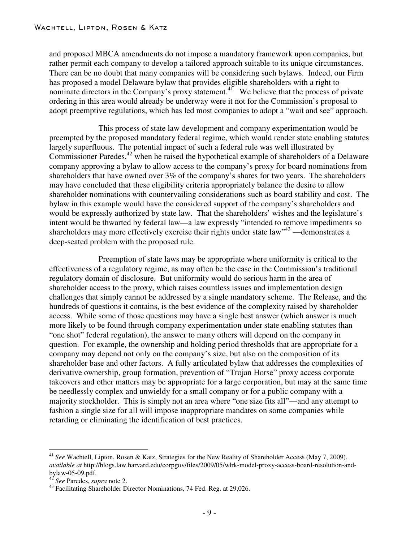and proposed MBCA amendments do not impose a mandatory framework upon companies, but rather permit each company to develop a tailored approach suitable to its unique circumstances. There can be no doubt that many companies will be considering such bylaws. Indeed, our Firm has proposed a model Delaware bylaw that provides eligible shareholders with a right to nominate directors in the Company's proxy statement.<sup>41</sup> We believe that the process of private ordering in this area would already be underway were it not for the Commission's proposal to adopt preemptive regulations, which has led most companies to adopt a "wait and see" approach.

This process of state law development and company experimentation would be preempted by the proposed mandatory federal regime, which would render state enabling statutes largely superfluous. The potential impact of such a federal rule was well illustrated by Commissioner Paredes,<sup>42</sup> when he raised the hypothetical example of shareholders of a Delaware company approving a bylaw to allow access to the company's proxy for board nominations from shareholders that have owned over 3% of the company's shares for two years. The shareholders may have concluded that these eligibility criteria appropriately balance the desire to allow shareholder nominations with countervailing considerations such as board stability and cost. The bylaw in this example would have the considered support of the company's shareholders and would be expressly authorized by state law. That the shareholders' wishes and the legislature's intent would be thwarted by federal law—a law expressly "intended to remove impediments so shareholders may more effectively exercise their rights under state law" $43$ —demonstrates a deep-seated problem with the proposed rule.

Preemption of state laws may be appropriate where uniformity is critical to the effectiveness of a regulatory regime, as may often be the case in the Commission's traditional regulatory domain of disclosure. But uniformity would do serious harm in the area of shareholder access to the proxy, which raises countless issues and implementation design challenges that simply cannot be addressed by a single mandatory scheme. The Release, and the hundreds of questions it contains, is the best evidence of the complexity raised by shareholder access. While some of those questions may have a single best answer (which answer is much more likely to be found through company experimentation under state enabling statutes than "one shot" federal regulation), the answer to many others will depend on the company in question. For example, the ownership and holding period thresholds that are appropriate for a company may depend not only on the company's size, but also on the composition of its shareholder base and other factors. A fully articulated bylaw that addresses the complexities of derivative ownership, group formation, prevention of "Trojan Horse" proxy access corporate takeovers and other matters may be appropriate for a large corporation, but may at the same time be needlessly complex and unwieldy for a small company or for a public company with a majority stockholder. This is simply not an area where "one size fits all"—and any attempt to fashion a single size for all will impose inappropriate mandates on some companies while retarding or eliminating the identification of best practices.

<sup>&</sup>lt;sup>41</sup> See Wachtell, Lipton, Rosen & Katz, Strategies for the New Reality of Shareholder Access (May 7, 2009), *available at* http://blogs.law.harvard.edu/corpgov/files/2009/05/wlrk-model-proxy-access-board-resolution-andbylaw-05-09.pdf. <sup>42</sup> *See* Paredes, *supra* note 2. 43 Facilitating Shareholder Director Nominations, <sup>74</sup> Fed. Reg. at 29,026.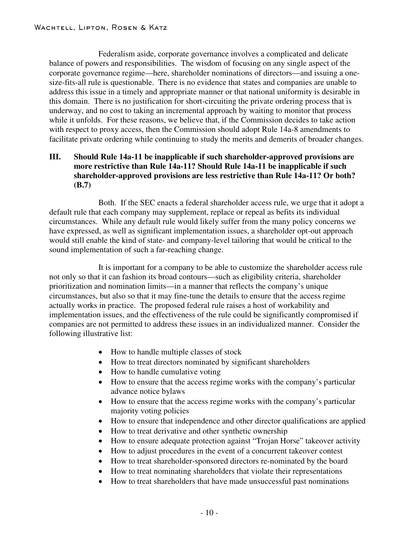Federalism aside, corporate governance involves a complicated and delicate balance of powers and responsibilities. The wisdom of focusing on any single aspect of the corporate governance regime—here, shareholder nominations of directors—and issuing a onesize-fits-all rule is questionable. There is no evidence that states and companies are unable to address this issue in a timely and appropriate manner or that national uniformity is desirable in this domain. There is no justification for short-circuiting the private ordering process that is underway, and no cost to taking an incremental approach by waiting to monitor that process while it unfolds. For these reasons, we believe that, if the Commission decides to take action with respect to proxy access, then the Commission should adopt Rule 14a-8 amendments to facilitate private ordering while continuing to study the merits and demerits of broader changes.

## **III. Should Rule 14a-11 be inapplicable if such shareholder-approved provisions are more restrictive than Rule 14a-11? Should Rule 14a-11 be inapplicable if such shareholder-approved provisions are less restrictive than Rule 14a-11? Or both? (B.7)**

Both. If the SEC enacts a federal shareholder access rule, we urge that it adopt a default rule that each company may supplement, replace or repeal as befits its individual circumstances. While any default rule would likely suffer from the many policy concerns we have expressed, as well as significant implementation issues, a shareholder opt-out approach would still enable the kind of state- and company-level tailoring that would be critical to the sound implementation of such a far-reaching change.

It is important for a company to be able to customize the shareholder access rule not only so that it can fashion its broad contours—such as eligibility criteria, shareholder prioritization and nomination limits—in a manner that reflects the company's unique circumstances, but also so that it may fine-tune the details to ensure that the access regime actually works in practice. The proposed federal rule raises a host of workability and implementation issues, and the effectiveness of the rule could be significantly compromised if companies are not permitted to address these issues in an individualized manner. Consider the following illustrative list:

- How to handle multiple classes of stock
- How to treat directors nominated by significant shareholders
- How to handle cumulative voting
- How to ensure that the access regime works with the company's particular advance notice bylaws
- How to ensure that the access regime works with the company's particular majority voting policies
- How to ensure that independence and other director qualifications are applied
- How to treat derivative and other synthetic ownership
- How to ensure adequate protection against "Trojan Horse" takeover activity
- How to adjust procedures in the event of a concurrent takeover contest
- How to treat shareholder-sponsored directors re-nominated by the board
- How to treat nominating shareholders that violate their representations
- How to treat shareholders that have made unsuccessful past nominations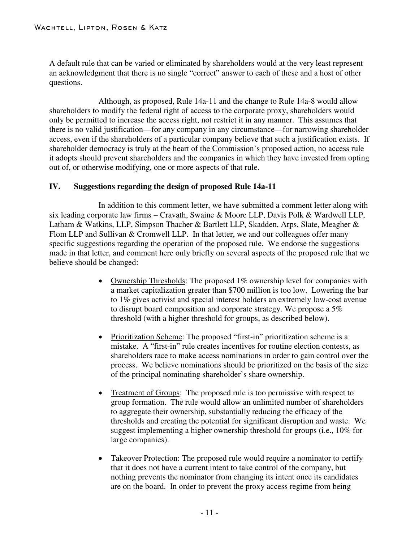A default rule that can be varied or eliminated by shareholders would at the very least represent an acknowledgment that there is no single "correct" answer to each of these and a host of other questions.

Although, as proposed, Rule 14a-11 and the change to Rule 14a-8 would allow shareholders to modify the federal right of access to the corporate proxy, shareholders would only be permitted to increase the access right, not restrict it in any manner. This assumes that there is no valid justification—for any company in any circumstance—for narrowing shareholder access, even if the shareholders of a particular company believe that such a justification exists. If shareholder democracy is truly at the heart of the Commission's proposed action, no access rule it adopts should prevent shareholders and the companies in which they have invested from opting out of, or otherwise modifying, one or more aspects of that rule.

# **IV. Suggestions regarding the design of proposed Rule 14a-11**

In addition to this comment letter, we have submitted a comment letter along with six leading corporate law firms - Cravath, Swaine & Moore LLP, Davis Polk & Wardwell LLP, Latham & Watkins, LLP, Simpson Thacher & Bartlett LLP, Skadden, Arps, Slate, Meagher & Flom LLP and Sullivan & Cromwell LLP. In that letter, we and our colleagues offer many specific suggestions regarding the operation of the proposed rule. We endorse the suggestions made in that letter, and comment here only briefly on several aspects of the proposed rule that we believe should be changed:

- Ownership Thresholds: The proposed 1% ownership level for companies with a market capitalization greater than \$700 million is too low. Lowering the bar to 1% gives activist and special interest holders an extremely low-cost avenue to disrupt board composition and corporate strategy. We propose a 5% threshold (with a higher threshold for groups, as described below).
- Prioritization Scheme: The proposed "first-in" prioritization scheme is a mistake. A "first-in" rule creates incentives for routine election contests, as shareholders race to make access nominations in order to gain control over the process. We believe nominations should be prioritized on the basis of the size of the principal nominating shareholder's share ownership.
- Treatment of Groups: The proposed rule is too permissive with respect to group formation. The rule would allow an unlimited number of shareholders to aggregate their ownership, substantially reducing the efficacy of the thresholds and creating the potential for significant disruption and waste. We suggest implementing a higher ownership threshold for groups (i.e., 10% for large companies).
- Takeover Protection: The proposed rule would require a nominator to certify that it does not have a current intent to take control of the company, but nothing prevents the nominator from changing its intent once its candidates are on the board. In order to prevent the proxy access regime from being